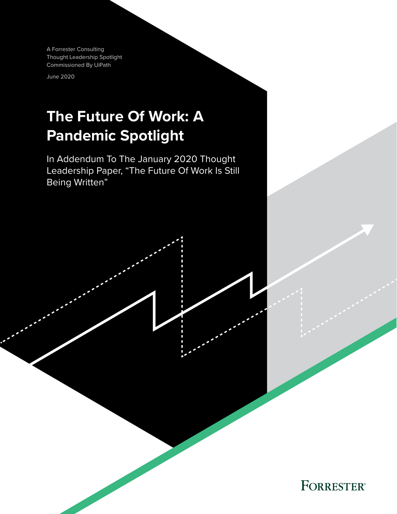A Forrester Consulting Thought Leadership Spotlight Commissioned By UiPath

June 2020

# **The Future Of Work: A Pandemic Spotlight**

In Addendum To The January 2020 Thought Leadership Paper, "The Future Of Work Is Still Being Written"

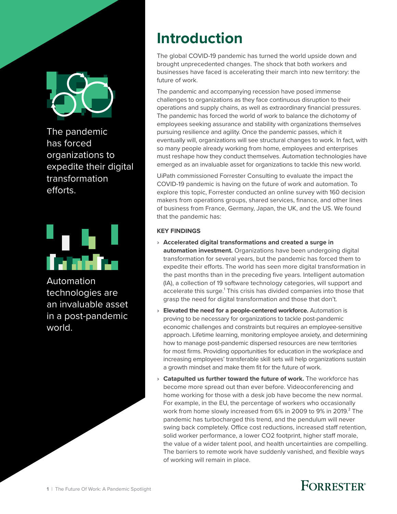

The pandemic has forced organizations to expedite their digital transformation efforts.



Automation technologies are an invaluable asset in a post-pandemic world.

# **Introduction**

The global COVID-19 pandemic has turned the world upside down and brought unprecedented changes. The shock that both workers and businesses have faced is accelerating their march into new territory: the future of work.

The pandemic and accompanying recession have posed immense challenges to organizations as they face continuous disruption to their operations and supply chains, as well as extraordinary financial pressures. The pandemic has forced the world of work to balance the dichotomy of employees seeking assurance and stability with organizations themselves pursuing resilience and agility. Once the pandemic passes, which it eventually will, organizations will see structural changes to work. In fact, with so many people already working from home, employees and enterprises must reshape how they conduct themselves. Automation technologies have emerged as an invaluable asset for organizations to tackle this new world.

UiPath commissioned Forrester Consulting to evaluate the impact the COVID-19 pandemic is having on the future of work and automation. To explore this topic, Forrester conducted an online survey with 160 decision makers from operations groups, shared services, finance, and other lines of business from France, Germany, Japan, the UK, and the US. We found that the pandemic has:

## **KEY FINDINGS**

- › **Accelerated digital transformations and created a surge in automation investment.** Organizations have been undergoing digital transformation for several years, but the pandemic has forced them to expedite their efforts. The world has seen more digital transformation in the past months than in the preceding five years. Intelligent automation (IA), a collection of 19 software technology categories, will support and accelerate this surge.<sup>1</sup> This crisis has divided companies into those that grasp the need for digital transformation and those that don't.
- › **Elevated the need for a people-centered workforce.** Automation is proving to be necessary for organizations to tackle post-pandemic economic challenges and constraints but requires an employee-sensitive approach. Lifetime learning, monitoring employee anxiety, and determining how to manage post-pandemic dispersed resources are new territories for most firms. Providing opportunities for education in the workplace and increasing employees' transferable skill sets will help organizations sustain a growth mindset and make them fit for the future of work.
- › **Catapulted us further toward the future of work.** The workforce has become more spread out than ever before. Videoconferencing and home working for those with a desk job have become the new normal. For example, in the EU, the percentage of workers who occasionally work from home slowly increased from 6% in 2009 to 9% in 2019. $^2$  The pandemic has turbocharged this trend, and the pendulum will never swing back completely. Office cost reductions, increased staff retention, solid worker performance, a lower CO2 footprint, higher staff morale, the value of a wider talent pool, and health uncertainties are compelling. The barriers to remote work have suddenly vanished, and flexible ways of working will remain in place.

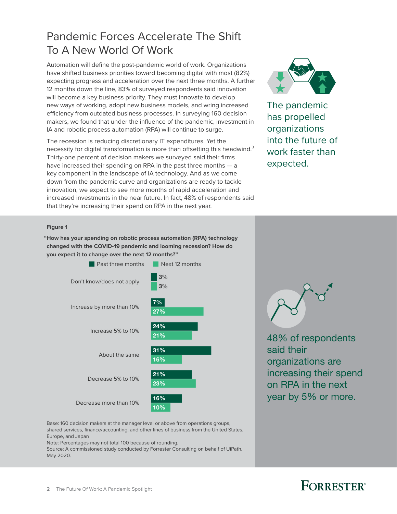# Pandemic Forces Accelerate The Shift To A New World Of Work

Automation will define the post-pandemic world of work. Organizations have shifted business priorities toward becoming digital with most (82%) expecting progress and acceleration over the next three months. A further 12 months down the line, 83% of surveyed respondents said innovation will become a key business priority. They must innovate to develop new ways of working, adopt new business models, and wring increased efficiency from outdated business processes. In surveying 160 decision makers, we found that under the influence of the pandemic, investment in IA and robotic process automation (RPA) will continue to surge.

The recession is reducing discretionary IT expenditures. Yet the necessity for digital transformation is more than offsetting this headwind.<sup>3</sup> Thirty-one percent of decision makers we surveyed said their firms have increased their spending on RPA in the past three months — a key component in the landscape of IA technology. And as we come down from the pandemic curve and organizations are ready to tackle innovation, we expect to see more months of rapid acceleration and increased investments in the near future. In fact, 48% of respondents said that they're increasing their spend on RPA in the next year.



The pandemic has propelled organizations into the future of work faster than expected.

### **Figure 1**

**"How has your spending on robotic process automation (RPA) technology changed with the COVID-19 pandemic and looming recession? How do you expect it to change over the next 12 months?"**



48% of respondents said their organizations are increasing their spend on RPA in the next year by 5% or more.

Base: 160 decision makers at the manager level or above from operations groups, shared services, finance/accounting, and other lines of business from the United States, Europe, and Japan

Note: Percentages may not total 100 because of rounding.

Source: A commissioned study conducted by Forrester Consulting on behalf of UiPath, May 2020.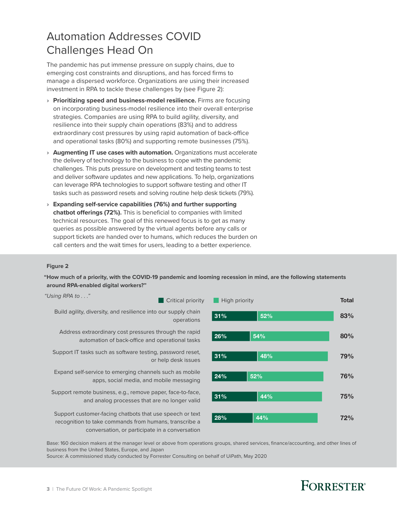# Automation Addresses COVID Challenges Head On

The pandemic has put immense pressure on supply chains, due to emerging cost constraints and disruptions, and has forced firms to manage a dispersed workforce. Organizations are using their increased investment in RPA to tackle these challenges by (see Figure 2):

- › **Prioritizing speed and business-model resilience.** Firms are focusing on incorporating business-model resilience into their overall enterprise strategies. Companies are using RPA to build agility, diversity, and resilience into their supply chain operations (83%) and to address extraordinary cost pressures by using rapid automation of back-office and operational tasks (80%) and supporting remote businesses (75%).
- › **Augmenting IT use cases with automation.** Organizations must accelerate the delivery of technology to the business to cope with the pandemic challenges. This puts pressure on development and testing teams to test and deliver software updates and new applications. To help, organizations can leverage RPA technologies to support software testing and other IT tasks such as password resets and solving routine help desk tickets (79%).
- › **Expanding self-service capabilities (76%) and further supporting chatbot offerings (72%).** This is beneficial to companies with limited technical resources. The goal of this renewed focus is to get as many queries as possible answered by the virtual agents before any calls or support tickets are handed over to humans, which reduces the burden on call centers and the wait times for users, leading to a better experience.

### **Figure 2**

**"How much of a priority, with the COVID-19 pandemic and looming recession in mind, are the following statements around RPA-enabled digital workers?"**

"Using RPA to . . ."

**Critical priority High priority** 

Build agility, diversity, and resilience into our supply chain

Address extraordinary cost pressures through the rapid automation of back-office and operational tasks **26% 54%** 

Support IT tasks such as software testing, password reset,

Expand self-service to emerging channels such as mobile apps, social media, and mobile messaging 24% 24% 52%

Support remote business, e.g., remove paper, face-to-face, and analog processes that are no longer valid **31%** 44%

Support customer-facing chatbots that use speech or text recognition to take commands from humans, transcribe a conversation, or participate in a conversation



Base: 160 decision makers at the manager level or above from operations groups, shared services, finance/accounting, and other lines of business from the United States, Europe, and Japan

Source: A commissioned study conducted by Forrester Consulting on behalf of UiPath, May 2020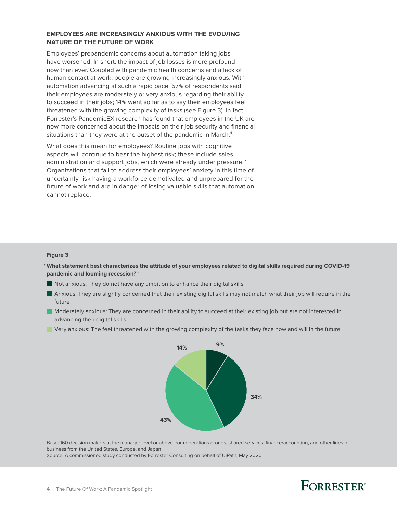### **EMPLOYEES ARE INCREASINGLY ANXIOUS WITH THE EVOLVING NATURE OF THE FUTURE OF WORK**

Employees' prepandemic concerns about automation taking jobs have worsened. In short, the impact of job losses is more profound now than ever. Coupled with pandemic health concerns and a lack of human contact at work, people are growing increasingly anxious. With automation advancing at such a rapid pace, 57% of respondents said their employees are moderately or very anxious regarding their ability to succeed in their jobs; 14% went so far as to say their employees feel threatened with the growing complexity of tasks (see Figure 3). In fact, Forrester's PandemicEX research has found that employees in the UK are now more concerned about the impacts on their job security and financial situations than they were at the outset of the pandemic in March.<sup>4</sup>

What does this mean for employees? Routine jobs with cognitive aspects will continue to bear the highest risk; these include sales, administration and support jobs, which were already under pressure.<sup>5</sup> Organizations that fail to address their employees' anxiety in this time of uncertainty risk having a workforce demotivated and unprepared for the future of work and are in danger of losing valuable skills that automation cannot replace.

### **Figure 3**

**"What statement best characterizes the attitude of your employees related to digital skills required during COVID-19 pandemic and looming recession?"**

- Not anxious: They do not have any ambition to enhance their digital skills
- Anxious: They are slightly concerned that their existing digital skills may not match what their job will require in the future
- Moderately anxious: They are concerned in their ability to succeed at their existing job but are not interested in advancing their digital skills
- Very anxious: The feel threatened with the growing complexity of the tasks they face now and will in the future



Base: 160 decision makers at the manager level or above from operations groups, shared services, finance/accounting, and other lines of business from the United States, Europe, and Japan

Source: A commissioned study conducted by Forrester Consulting on behalf of UiPath, May 2020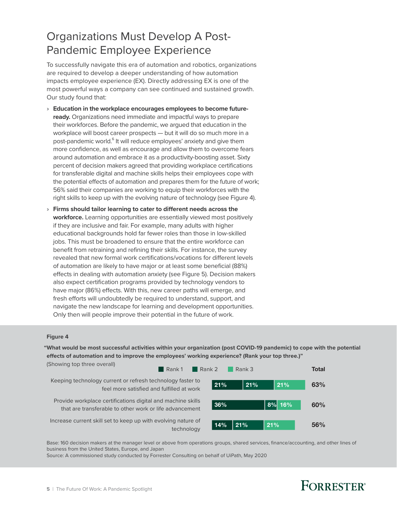# Organizations Must Develop A Post-Pandemic Employee Experience

To successfully navigate this era of automation and robotics, organizations are required to develop a deeper understanding of how automation impacts employee experience (EX). Directly addressing EX is one of the most powerful ways a company can see continued and sustained growth. Our study found that:

- › **Education in the workplace encourages employees to become futureready.** Organizations need immediate and impactful ways to prepare their workforces. Before the pandemic, we argued that education in the workplace will boost career prospects — but it will do so much more in a post-pandemic world.<sup>6</sup> It will reduce employees' anxiety and give them more confidence, as well as encourage and allow them to overcome fears around automation and embrace it as a productivity-boosting asset. Sixty percent of decision makers agreed that providing workplace certifications for transferable digital and machine skills helps their employees cope with the potential effects of automation and prepares them for the future of work; 56% said their companies are working to equip their workforces with the right skills to keep up with the evolving nature of technology (see Figure 4).
- › **Firms should tailor learning to cater to different needs across the workforce.** Learning opportunities are essentially viewed most positively if they are inclusive and fair. For example, many adults with higher educational backgrounds hold far fewer roles than those in low-skilled jobs. This must be broadened to ensure that the entire workforce can benefit from retraining and refining their skills. For instance, the survey revealed that new formal work certifications/vocations for different levels of automation are likely to have major or at least some beneficial (88%) effects in dealing with automation anxiety (see Figure 5). Decision makers also expect certification programs provided by technology vendors to have major (86%) effects. With this, new career paths will emerge, and fresh efforts will undoubtedly be required to understand, support, and navigate the new landscape for learning and development opportunities. Only then will people improve their potential in the future of work.

#### **Figure 4**

**"What would be most successful activities within your organization (post COVID-19 pandemic) to cope with the potential**  effects of automation and to improve the employees' working experience? (Rank your top three.)"



Base: 160 decision makers at the manager level or above from operations groups, shared services, finance/accounting, and other lines of business from the United States, Europe, and Japan

Source: A commissioned study conducted by Forrester Consulting on behalf of UiPath, May 2020

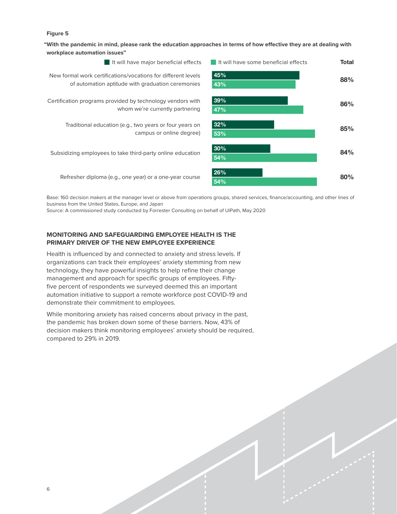### **Figure 5**

"With the pandemic in mind, please rank the education approaches in terms of how effective they are at dealing with **workplace automation issues"**



Base: 160 decision makers at the manager level or above from operations groups, shared services, finance/accounting, and other lines of business from the United States, Europe, and Japan

Source: A commissioned study conducted by Forrester Consulting on behalf of UiPath, May 2020

### **MONITORING AND SAFEGUARDING EMPLOYEE HEALTH IS THE PRIMARY DRIVER OF THE NEW EMPLOYEE EXPERIENCE**

Health is influenced by and connected to anxiety and stress levels. If organizations can track their employees' anxiety stemming from new technology, they have powerful insights to help refine their change management and approach for specific groups of employees. Fiftyfive percent of respondents we surveyed deemed this an important automation initiative to support a remote workforce post COVID-19 and demonstrate their commitment to employees.

While monitoring anxiety has raised concerns about privacy in the past, the pandemic has broken down some of these barriers. Now, 43% of decision makers think monitoring employees' anxiety should be required, compared to 29% in 2019.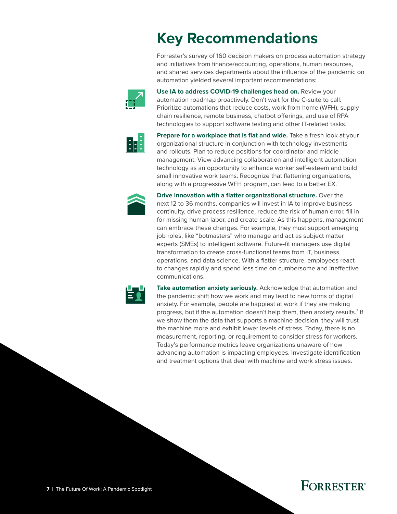# **Key Recommendations**

Forrester's survey of 160 decision makers on process automation strategy and initiatives from finance/accounting, operations, human resources, and shared services departments about the influence of the pandemic on automation yielded several important recommendations:



**Use IA to address COVID-19 challenges head on.** Review your automation roadmap proactively. Don't wait for the C-suite to call. Prioritize automations that reduce costs, work from home (WFH), supply chain resilience, remote business, chatbot offerings, and use of RPA technologies to support software testing and other IT-related tasks.



**Prepare for a workplace that is flat and wide.** Take a fresh look at your organizational structure in conjunction with technology investments and rollouts. Plan to reduce positions for coordinator and middle management. View advancing collaboration and intelligent automation technology as an opportunity to enhance worker self-esteem and build small innovative work teams. Recognize that flattening organizations, along with a progressive WFH program, can lead to a better EX.



**Drive innovation with a flatter organizational structure.** Over the next 12 to 36 months, companies will invest in IA to improve business continuity, drive process resilience, reduce the risk of human error, fill in for missing human labor, and create scale. As this happens, management can embrace these changes. For example, they must support emerging job roles, like "botmasters" who manage and act as subject matter experts (SMEs) to intelligent software. Future-fit managers use digital transformation to create cross-functional teams from IT, business, operations, and data science. With a flatter structure, employees react to changes rapidly and spend less time on cumbersome and ineffective communications.



**Take automation anxiety seriously.** Acknowledge that automation and the pandemic shift how we work and may lead to new forms of digital anxiety. For example, people are happiest at work if they are making progress, but if the automation doesn't help them, then anxiety results. $^7$  If we show them the data that supports a machine decision, they will trust the machine more and exhibit lower levels of stress. Today, there is no measurement, reporting, or requirement to consider stress for workers. Today's performance metrics leave organizations unaware of how advancing automation is impacting employees. Investigate identification and treatment options that deal with machine and work stress issues.

# **FORRESTER®**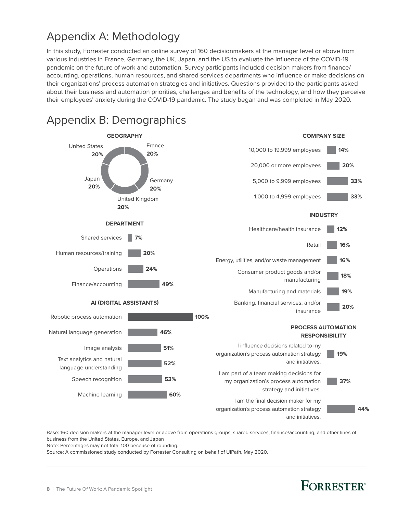# Appendix A: Methodology

In this study, Forrester conducted an online survey of 160 decisionmakers at the manager level or above from various industries in France, Germany, the UK, Japan, and the US to evaluate the influence of the COVID-19 pandemic on the future of work and automation. Survey participants included decision makers from finance/ accounting, operations, human resources, and shared services departments who influence or make decisions on their organizations' process automation strategies and initiatives. Questions provided to the participants asked about their business and automation priorities, challenges and benefits of the technology, and how they perceive their employees' anxiety during the COVID-19 pandemic. The study began and was completed in May 2020.



Base: 160 decision makers at the manager level or above from operations groups, shared services, finance/accounting, and other lines of business from the United States, Europe, and Japan

Note: Percentages may not total 100 because of rounding.

Source: A commissioned study conducted by Forrester Consulting on behalf of UiPath, May 2020.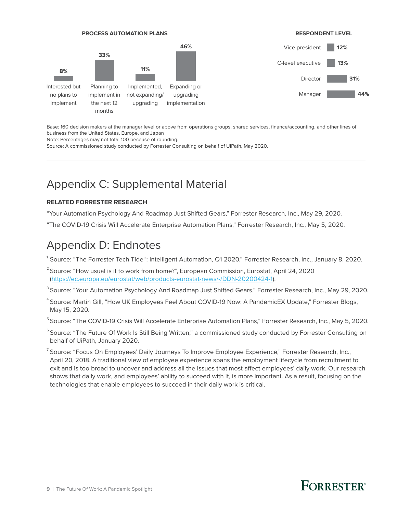

Base: 160 decision makers at the manager level or above from operations groups, shared services, finance/accounting, and other lines of business from the United States, Europe, and Japan

Note: Percentages may not total 100 because of rounding.

Source: A commissioned study conducted by Forrester Consulting on behalf of UiPath, May 2020.

## Appendix C: Supplemental Material

### **RELATED FORRESTER RESEARCH**

"Your Automation Psychology And Roadmap Just Shifted Gears," Forrester Research, Inc., May 29, 2020.

"The COVID-19 Crisis Will Accelerate Enterprise Automation Plans," Forrester Research, Inc., May 5, 2020.

## Appendix D: Endnotes

1 Source: "The Forrester Tech Tide™: Intelligent Automation, Q1 2020," Forrester Research, Inc., January 8, 2020.

- <sup>2</sup> Source: "How usual is it to work from home?", European Commission, Eurostat, April 24, 2020 [\(https://ec.europa.eu/eurostat/web/products-eurostat-news/-/DDN-20200424-1\)](https://ec.europa.eu/eurostat/web/products-eurostat-news/-/DDN-20200424-1).
- $^{\rm 3}$ Source: "Your Automation Psychology And Roadmap Just Shifted Gears," Forrester Research, Inc., May 29, 2020.
- <sup>4</sup> Source: Martin Gill, "How UK Employees Feel About COVID-19 Now: A PandemicEX Update," Forrester Blogs, May 15, 2020.
- <sup>5</sup> Source: "The COVID-19 Crisis Will Accelerate Enterprise Automation Plans," Forrester Research, Inc., May 5, 2020.
- <sup>6</sup> Source: "The Future Of Work Is Still Being Written," a commissioned study conducted by Forrester Consulting on behalf of UiPath, January 2020.
- <sup>7</sup> Source: "Focus On Employees' Daily Journeys To Improve Employee Experience," Forrester Research, Inc., April 20, 2018. A traditional view of employee experience spans the employment lifecycle from recruitment to exit and is too broad to uncover and address all the issues that most affect employees' daily work. Our research shows that daily work, and employees' ability to succeed with it, is more important. As a result, focusing on the technologies that enable employees to succeed in their daily work is critical.